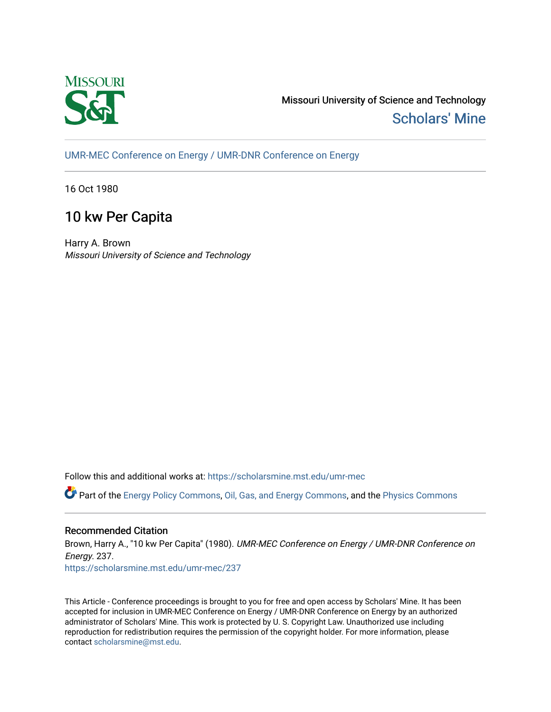

Missouri University of Science and Technology [Scholars' Mine](https://scholarsmine.mst.edu/) 

[UMR-MEC Conference on Energy / UMR-DNR Conference on Energy](https://scholarsmine.mst.edu/umr-mec)

16 Oct 1980

# 10 kw Per Capita

Harry A. Brown Missouri University of Science and Technology

Follow this and additional works at: [https://scholarsmine.mst.edu/umr-mec](https://scholarsmine.mst.edu/umr-mec?utm_source=scholarsmine.mst.edu%2Fumr-mec%2F237&utm_medium=PDF&utm_campaign=PDFCoverPages) 

Part of the [Energy Policy Commons](http://network.bepress.com/hgg/discipline/1065?utm_source=scholarsmine.mst.edu%2Fumr-mec%2F237&utm_medium=PDF&utm_campaign=PDFCoverPages), [Oil, Gas, and Energy Commons](http://network.bepress.com/hgg/discipline/171?utm_source=scholarsmine.mst.edu%2Fumr-mec%2F237&utm_medium=PDF&utm_campaign=PDFCoverPages), and the [Physics Commons](http://network.bepress.com/hgg/discipline/193?utm_source=scholarsmine.mst.edu%2Fumr-mec%2F237&utm_medium=PDF&utm_campaign=PDFCoverPages) 

# Recommended Citation

Brown, Harry A., "10 kw Per Capita" (1980). UMR-MEC Conference on Energy / UMR-DNR Conference on Energy. 237.

[https://scholarsmine.mst.edu/umr-mec/237](https://scholarsmine.mst.edu/umr-mec/237?utm_source=scholarsmine.mst.edu%2Fumr-mec%2F237&utm_medium=PDF&utm_campaign=PDFCoverPages) 

This Article - Conference proceedings is brought to you for free and open access by Scholars' Mine. It has been accepted for inclusion in UMR-MEC Conference on Energy / UMR-DNR Conference on Energy by an authorized administrator of Scholars' Mine. This work is protected by U. S. Copyright Law. Unauthorized use including reproduction for redistribution requires the permission of the copyright holder. For more information, please contact [scholarsmine@mst.edu](mailto:scholarsmine@mst.edu).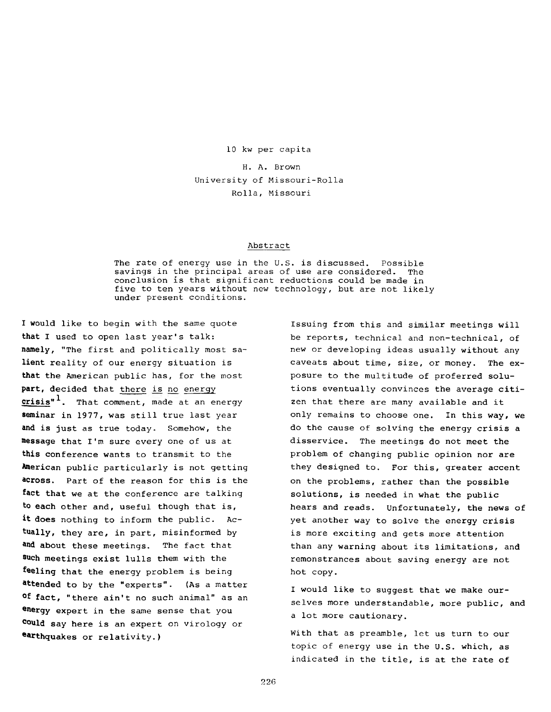**10 kw per capita**

**H. A. Brown University of Missouri-Rolla Rolla, Missouri**

#### **Abstract**

**The rate of energy use in the U.S. is discussed. Possible savings in the principal areas of use are considered. The conclusion is that significant reductions could be made in five to ten years without new technology, but are not likely under present conditions.**

**I would like to begin with the same quote that I used to open last year's talk: namely, "The first and politically most salient reality of our energy situation is that the American public has, for the most part, decided that there is no energy crisis" ^. That comment, made at an energy seminar in 1977, was still true last year and is just as true today. Somehow, the message that I'm sure every one of us at this conference wants to transmit to the American public particularly is not getting across. Part of the reason for this is the fact that we at the conference are talking to each other and, useful though that is, it does nothing to inform the public. Actually, they are, in part, misinformed by \*nd about these meetings. The fact that such meetings exist lulls them with the feeling that the energy problem is being extended to by the "experts". (As a matter °f fact, "there ain't no such animal" as an energy expert in the same sense that you Could say here is an expert on virology or eatthquakes or relativity.)**

**Issuing from this and similar meetings will be reports, technical and non-technical, of new or developing ideas usually without any caveats about time, size, or money. The exposure to the multitude of proferred solutions eventually convinces the average citizen that there are many available and it only remains to choose one. In this way, we do the cause of solving the energy crisis a disservice. The meetings do not meet the problem of changing public opinion nor are they designed to. For this, greater accent on the problems, rather than the possible solutions, is needed in what the public hears and reads. Unfortunately, the news of yet another way to solve the energy crisis is more exciting and gets more attention than any warning about its limitations, and remonstrances about saving energy are not hot copy.**

**I would like to suggest that we make ourselves more understandable, more public, and a lot more cautionary.**

**With that as preamble, let us turn to our topic of energy use in the U.S. which, as indicated in the title, is at the rate of**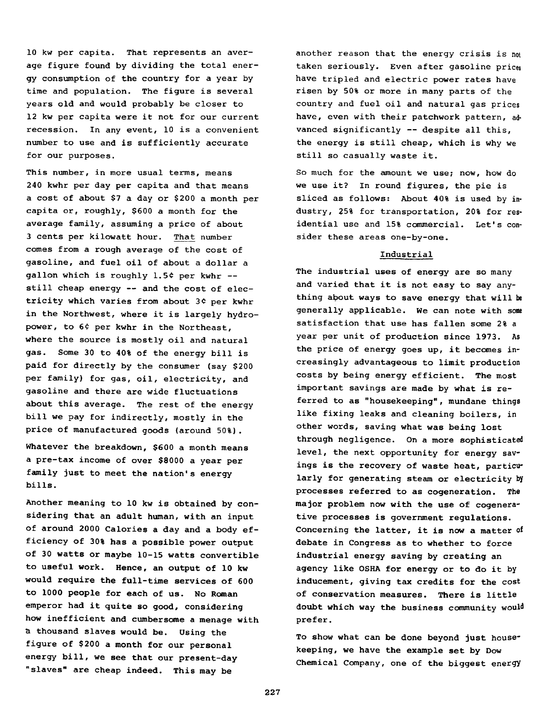**10 kw per capita. That represents an average figure found by dividing the total energy consumption of the country for a year by time and population. The figure is several years old and would probably be closer to 12 kw per capita were it not for our current recession. In any event, 10 is a convenient number to use and is sufficiently accurate for our purposes.**

**This number, in more usual terms, means 240 kwhr per day per capita and that means a cost of about \$7 a day or \$200 a month per capita or, roughly, \$600 a month for the average family, assuming a price of about 3 cents per kilowatt hour. That number comes from a rough average of the cost of gasoline, and fuel oil of about a dollar a** gallon which is roughly 1.5¢ per kwhr -**still cheap energy — and the cost of electricity which varies from about 3C per kwhr in the Northwest, where it is largely hydro**power, to 6¢ per kwhr in the Northeast, **where the source is mostly oil and natural gas. Some 30 to 40% of the energy bill is paid for directly by the consumer (say \$200 per family) for gas, oil, electricity, and gasoline and there are wide fluctuations about this average. The rest of the energy bill we pay for indirectly, mostly in the price of manufactured goods (around 50%).**

**Whatever the breakdown, \$600 a month means a pre-tax income of over \$8000 a year per family just to meet the nation's energy bills.**

**Another meaning to 10 kw is obtained by considering that an adult human, with an input of around 2000 Calories a day and a body efficiency of 30% has a possible power output of 30 watts or maybe 10-15 watts convertible to useful work. Hence, an output of 10 kw would require the full-time services of 600 to 1000 people for each of us. No Roman emperor had it quite so good, considering how inefficient and cumbersome a menage with h thousand slaves would be. Using the figure of \$200 a month for our personal energy bill, we see that our present-day "slaves" are cheap indeed. This may be**

**another reason that the energy crisis is not taken seriously. Even after gasoline prices have tripled and electric power rates have risen by 50% or more in many parts of the country and fuel oil and natural gas prices have, even with their patchwork pattern, advanced significantly — despite all this, the energy is still cheap, which is why we still so casually waste it.**

**So much for the amount we use; now, how do we use it? In round figures, the pie is sliced as follows: About 40% is used by industry, 25% for transportation, 20% for residential use and 15% commercial. Let's consider these areas one-by-one.**

## **Industrial**

**The industrial uses of energy are so many and varied that it is not easy to say anything about ways to save energy that will be generally applicable. We can note with some satisfaction that use has fallen some 2% a year per unit of production since 1973. As the price of energy goes up, it becomes increasingly advantageous to limit production costs by being energy efficient. The most important savings are made by what is referred to as "housekeeping", mundane things like fixing leaks and cleaning boilers, in other words, saving what was being lost through negligence. On a more sophisticated level, the next opportunity for energy savings is the recovery of waste heat, particularly for generating steam or electricity by processes referred to as cogeneration. The major problem now with the use of cogenerative processes is government regulations. Concerning the latter, it is now a matter of debate in Congress as to whether to force industrial energy saving by creating an agency like OSHA for energy or to do it by inducement, giving tax credits for the cost of conservation measures. There is little doubt which way the business community would prefer.**

**To show what can be done beyond just housekeeping, we have the example set by Dow Chemical Company, one of the biggest energy**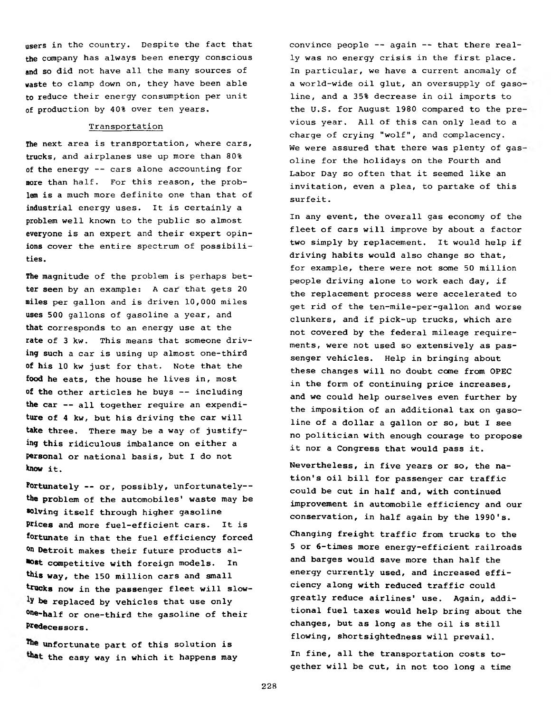**users in the country. Despite the fact that the company has always been energy conscious and so did not have all the many sources of waste to clamp down on, they have been able to reduce their energy consumption per unit of production by 40% over ten years.**

#### **Transportation**

**The next area is transportation, where cars, trucks, and airplanes use up more than 80% of the energy -- cars alone accounting for more than half. For this reason, the problem is a much more definite one than that of industrial energy uses. It is certainly a problem well known to the public so almost everyone is an expert and their expert opinions cover the entire spectrum of possibilities.**

**The magnitude of the problem is perhaps better seen by an example: A car that gets 20 miles per gallon and is driven 10,000 miles uses 500 gallons of gasoline a year, and that corresponds to an energy use at the rate of 3 kw. This means that someone driving such a car is using up almost one-third of his 10 kw just for that. Note that the food he eats, the house he lives in, most of the other articles he buys — including the car — all together require an expenditure of 4 kw, but his driving the car will take three. There may be a way of justifying this ridiculous imbalance on either a personal or national basis, but I do not know it.**

**fortunately — or, possibly, unfortunately the problem of the automobiles' waste may be solving itself through higher gasoline Prices and more fuel-efficient cars. It is fortunate in that the fuel efficiency forced °n Detroit makes their future products almost competitive with foreign models. In this way, the 150 million cars and small** trucks now in the passenger fleet will slow**be replaced by vehicles that use only one-half or one-third the gasoline of their Predecessors.**

**unfortunate part of this solution is the easy way in which it happens may** **convince people -- again — that there really was no energy crisis in the first place. In particular, we have a current anomaly of a world-wide oil glut, an oversupply of gaso line, and a 35% decrease in oil imports to the U.S. for August 1980 compared to the pre vious year. All of this can only lead to a charge of crying "wolf", and complacency. We were assured that there was plenty of gas oline for the holidays on the Fourth and Labor Day so often that it seemed like an invitation, even a plea, to partake of this surfeit.**

**In any event, the overall gas economy of the fleet of cars will improve by about a factor two simply by replacement. It would help if driving habits would also change so that, for example, there were not some 50 million people driving alone to work each day, if the replacement process were accelerated to get rid of the ten-mile-per-gallon and worse clunkers, and if pick-up trucks, which are not covered by the federal mileage requirements, were not used so extensively as passenger vehicles. Help in bringing about these changes will no doubt come from OPEC in the form of continuing price increases, and we could help ourselves even further by the imposition of an additional tax on gasoline of a dollar a gallon or so, but I see no politician with enough courage to propose it nor a Congress that would pass it.**

**Nevertheless, in five years or so, the nation's oil bill for passenger car traffic could be cut in half and, with continued improvement in automobile efficiency and our conservation, in half again by the 1990's.**

**Changing freight traffic from trucks to the 5 or 6-times more energy-efficient railroads and barges would save more than half the energy currently used, and increased efficiency along with reduced traffic could greatly reduce airlines' use. Again, additional fuel taxes would help bring about the changes, but as long as the oil is still flowing, shortsightedness will prevail.**

**In fine, all the transportation costs together will be cut, in not too long a time**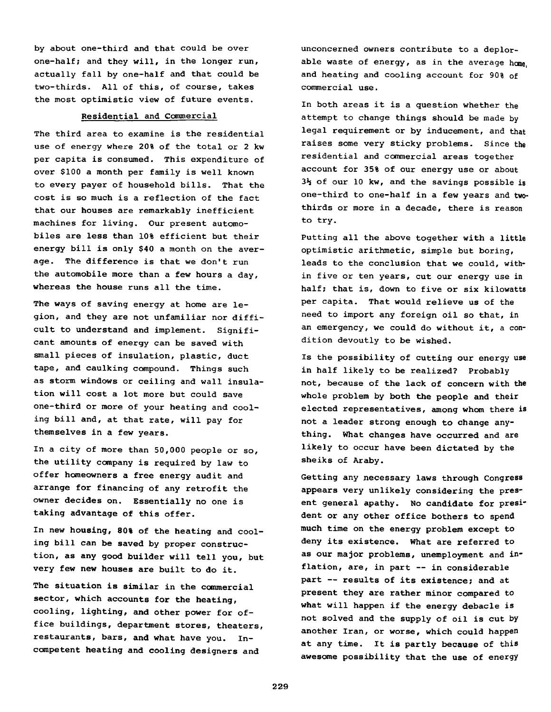**by about one-third and that could be over one-half; and they will, in the longer run, actually fall by one-half and that could be two-thirds. All of this, of course, takes the most optimistic view of future events.**

#### **Residential and Commercial**

**The third area to examine is the residential use of energy where 20% of the total or 2 kw per capita is consumed. This expenditure of over \$100 a month per family is well known to every payer of household bills. That the cost is so much is a reflection of the fact that our houses are remarkably inefficient machines for living. Our present automobiles are less than 10% efficient but their energy bill is only \$40 a month on the average. The difference is that we don't run the automobile more than a few hours a day, whereas the house runs all the time.**

**The ways of saving energy at home are legion, and they are not unfamiliar nor difficult to understand and implement. Significant amounts of energy can be saved with small pieces of insulation, plastic, duct tape, and caulking compound. Things such as storm windows or ceiling and wall insulation will cost a lot more but could save one-third or more of your heating and cooling bill and, at that rate, will pay for themselves in a few years.**

**In a city of more than 50,000 people or so, the utility company is required by law to offer homeowners a free energy audit and arrange for financing of any retrofit the owner decides on. Essentially no one is taking advantage of this offer.**

**In new housing, 80% of the heating and cooling bill can be saved by proper construction, as any good builder will tell you, but very few new houses are built to do it.**

**The situation is similar in the commercial sector, which accounts for the heating, cooling, lighting, and other power for office buildings, department stores, theaters, restaurants, bars, and what have you. Incompetent heating and cooling designers and**

**unconcerned owners contribute to a deplorable waste of energy, as in the average home, and heating and cooling account for 90% of commercial use.**

**In both areas it is a question whether the attempt to change things should be made by legal requirement or by inducement, and that raises some very sticky problems. Since the residential and commercial areas together account for 35% of our energy use or about 3\*5 of our 10 kw, and the savings possible is one-third to one-half in a few years and twothirds or more in a decade, there is reason to try.**

**Putting all the above together with a little optimistic arithmetic, simple but boring, leads to the conclusion that we could, within five or ten years, cut our energy use in half; that is, down to five or six kilowatts per capita. That would relieve us of the need to import any foreign oil so that, in an emergency, we could do without it, a condition devoutly to be wished.**

**Is the possibility of cutting our energy use in half likely to be realized? Probably not, because of the lack of concern with the whole problem by both the people and their elected representatives, among whom there is not a leader strong enough to change anything. What changes have occurred and are likely to occur have been dictated by the sheiks of Araby.**

**Getting any necessary laws through Congress appears very unlikely considering the present general apathy. No candidate for president or any other office bothers to spend much time on the energy problem except to deny its existence. What are referred to as our major problems, unemployment and inflation, are, in part — in considerable part — results of its existence; and at present they are rather minor compared to what will happen if the energy debacle is not solved and the supply of oil is cut by another Iran, or worse, which could happen at any time. It is partly because of this awesome possibility that the use of energy**